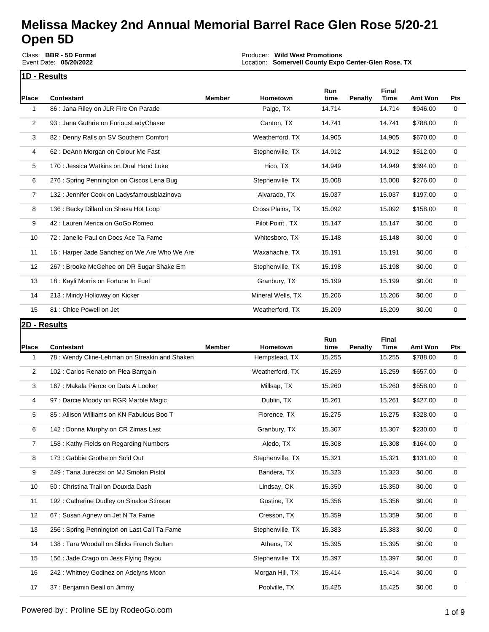Class: **BBR - 5D Format** Event Date: **05/20/2022**

Producer: **Wild West Promotions** Location: **Somervell County Expo Center-Glen Rose, TX**

Event Payout: **\$13,138.00** Total Signups**: 267**

| 1 | 'D - Results |  |
|---|--------------|--|

| Place          | <b>Contestant</b>                             | <b>Member</b> | <b>Hometown</b>   | Run<br>time | <b>Penalty</b> | Final<br><b>Time</b> | Amt Won  | <b>Pts</b>   |
|----------------|-----------------------------------------------|---------------|-------------------|-------------|----------------|----------------------|----------|--------------|
| 1              | 86 : Jana Riley on JLR Fire On Parade         |               | Paige, TX         | 14.714      |                | 14.714               | \$946.00 | $\mathbf{0}$ |
| $\overline{2}$ | 93 : Jana Guthrie on FuriousLadyChaser        |               | Canton, TX        | 14.741      |                | 14.741               | \$788.00 | $\mathbf 0$  |
| 3              | 82: Denny Ralls on SV Southern Comfort        |               | Weatherford, TX   | 14.905      |                | 14.905               | \$670.00 | 0            |
| 4              | 62 : DeAnn Morgan on Colour Me Fast           |               | Stephenville, TX  | 14.912      |                | 14.912               | \$512.00 | 0            |
| 5              | 170 : Jessica Watkins on Dual Hand Luke       |               | Hico, TX          | 14.949      |                | 14.949               | \$394.00 | 0            |
| 6              | 276 : Spring Pennington on Ciscos Lena Bug    |               | Stephenville, TX  | 15.008      |                | 15.008               | \$276.00 | 0            |
| $\overline{7}$ | 132 : Jennifer Cook on Ladysfamousblazinova   |               | Alvarado, TX      | 15.037      |                | 15.037               | \$197.00 | $\mathbf 0$  |
| 8              | 136 : Becky Dillard on Shesa Hot Loop         |               | Cross Plains, TX  | 15.092      |                | 15.092               | \$158.00 | 0            |
| 9              | 42 : Lauren Merica on GoGo Romeo              |               | Pilot Point, TX   | 15.147      |                | 15.147               | \$0.00   | $\mathbf 0$  |
| 10             | 72 : Janelle Paul on Docs Ace Ta Fame         |               | Whitesboro, TX    | 15.148      |                | 15.148               | \$0.00   | 0            |
| 11             | 16 : Harper Jade Sanchez on We Are Who We Are |               | Waxahachie, TX    | 15.191      |                | 15.191               | \$0.00   | 0            |
| 12             | 267 : Brooke McGehee on DR Sugar Shake Em     |               | Stephenville, TX  | 15.198      |                | 15.198               | \$0.00   | $\mathbf 0$  |
| 13             | 18 : Kayli Morris on Fortune In Fuel          |               | Granbury, TX      | 15.199      |                | 15.199               | \$0.00   | 0            |
| 14             | 213 : Mindy Holloway on Kicker                |               | Mineral Wells, TX | 15.206      |                | 15.206               | \$0.00   | $\mathbf 0$  |
| 15             | 81 : Chloe Powell on Jet                      |               | Weatherford, TX   | 15.209      |                | 15.209               | \$0.00   | $\mathbf 0$  |

#### **2D - Results**

| Place          | <b>Contestant</b>                             | <b>Member</b> | <b>Hometown</b>  | <b>Run</b><br>time | Penalty | <b>Final</b><br><b>Time</b> | Amt Won  | <b>Pts</b>  |
|----------------|-----------------------------------------------|---------------|------------------|--------------------|---------|-----------------------------|----------|-------------|
| 1              | 78: Wendy Cline-Lehman on Streakin and Shaken |               | Hempstead, TX    | 15.255             |         | 15.255                      | \$788.00 | 0           |
| 2              | 102 : Carlos Renato on Plea Barrgain          |               | Weatherford, TX  | 15.259             |         | 15.259                      | \$657.00 | 0           |
| 3              | 167 : Makala Pierce on Dats A Looker          |               | Millsap, TX      | 15.260             |         | 15.260                      | \$558.00 | 0           |
| 4              | 97 : Darcie Moody on RGR Marble Magic         |               | Dublin, TX       | 15.261             |         | 15.261                      | \$427.00 | 0           |
| 5              | 85 : Allison Williams on KN Fabulous Boo T    |               | Florence, TX     | 15.275             |         | 15.275                      | \$328.00 | $\mathbf 0$ |
| 6              | 142 : Donna Murphy on CR Zimas Last           |               | Granbury, TX     | 15.307             |         | 15.307                      | \$230.00 | 0           |
| $\overline{7}$ | 158 : Kathy Fields on Regarding Numbers       |               | Aledo, TX        | 15.308             |         | 15.308                      | \$164.00 | 0           |
| 8              | 173 : Gabbie Grothe on Sold Out               |               | Stephenville, TX | 15.321             |         | 15.321                      | \$131.00 | 0           |
| 9              | 249 : Tana Jureczki on MJ Smokin Pistol       |               | Bandera, TX      | 15.323             |         | 15.323                      | \$0.00   | 0           |
| 10             | 50 : Christina Trail on Douxda Dash           |               | Lindsay, OK      | 15.350             |         | 15.350                      | \$0.00   | 0           |
| 11             | 192 : Catherine Dudley on Sinaloa Stinson     |               | Gustine, TX      | 15.356             |         | 15.356                      | \$0.00   | 0           |
| 12             | 67 : Susan Agnew on Jet N Ta Fame             |               | Cresson, TX      | 15.359             |         | 15.359                      | \$0.00   | 0           |
| 13             | 256 : Spring Pennington on Last Call Ta Fame  |               | Stephenville, TX | 15.383             |         | 15.383                      | \$0.00   | 0           |
| 14             | 138 : Tara Woodall on Slicks French Sultan    |               | Athens, TX       | 15.395             |         | 15.395                      | \$0.00   | 0           |
| 15             | 156 : Jade Crago on Jess Flying Bayou         |               | Stephenville, TX | 15.397             |         | 15.397                      | \$0.00   | 0           |
| 16             | 242 : Whitney Godinez on Adelyns Moon         |               | Morgan Hill, TX  | 15.414             |         | 15.414                      | \$0.00   | 0           |
| 17             | 37 : Benjamin Beall on Jimmy                  |               | Poolville, TX    | 15.425             |         | 15.425                      | \$0.00   | 0           |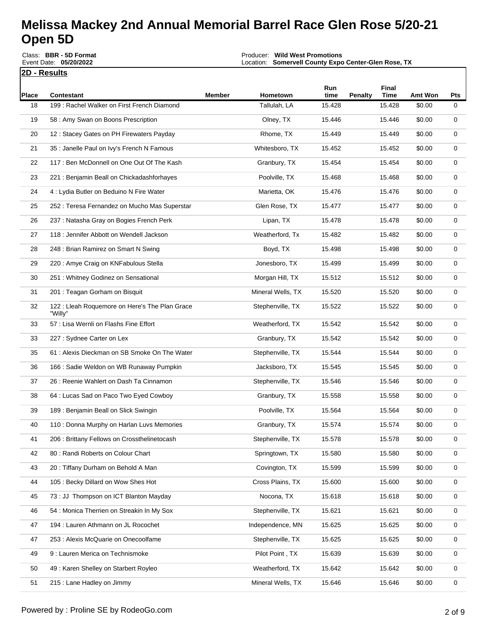**2D - Results** Round Description: **Single RacePlace Contestant Member Hometown Run time Penalty Final Time Amt Won Pts** 18 199 : Rachel Walker on First French Diamond Tallulah, LA 15.428 15.428 \$0.00 0 19 58: Amy Swan on Boons Prescription **COLOGY COLOGY COLOGY COLOGY COLOGY COLOGY COLOGY COLOGY COLOGY COLOGY CO** 20 12 : Stacey Gates on PH Firewaters Payday Note and Rhome, TX 15.449 15.449 \$0.00 0 21 35 : Janelle Paul on Ivy's French N Famous Whitesboro, TX 15.452 15.452 \$0.00 0 22 117 : Ben McDonnell on One Out Of The Kash Granbury, TX 15.454 15.454 \$0.00 0 23 221 : Benjamin Beall on Chickadashforhaves external provide, TX 15.468 15.468 \$0.00 0 24 4 : Lydia Butler on Beduino N Fire Water **Marietta, OK** 15.476 15.476 \$0.00 0 25 252 : Teresa Fernandez on Mucho Mas Superstar Carrell Communication Rose, TX 15.477 15.477 \$0.00 0 26 237 : Natasha Gray on Bogies French Perk Lipan, TX Lipan, TX 15.478 15.478 15.478 \$0.00 0 27 118 : Jennifer Abbott on Wendell Jackson Weatherford, Tx 15.482 15.482 \$0.00 0 28 248 : Brian Ramirez on Smart N Swing Boyd, TX 15.498 15.498 \$0.00 0 29 220 : Amye Craig on KNFabulous Stella **Jonesboro, TX** 15.499 15.499 \$0.00 0 30 251 : Whitney Godinez on Sensational **Morgan Hill, TX** 15.512 15.512 \$0.00 0 31 201 : Teagan Gorham on Bisquit North Mineral Wells, TX 15.520 15.520 \$0.00 0 32 122 : Lleah Roquemore on Here's The Plan Grace "Willy" Stephenville, TX 15.522 15.522 \$0.00 0 33 57 : Lisa Wernli on Flashs Fine Effort Notel Charles Meatherford, TX 15.542 15.542 \$0.00 0 33 227 : Sydnee Carter on Lex Granbury, TX 15.542 15.542 \$0.00 0 35 61 : Alexis Dieckman on SB Smoke On The Water Stephenville, TX 15.544 15.544 \$0.00 0 36 166: Sadie Weldon on WB Runaway Pumpkin New Yorksboro, TX 15.545 15.545 \$0.00 0 37 26 : Reenie Wahlert on Dash Ta Cinnamon Stephenville, TX 15.546 15.546 \$0.00 0 38 64 : Lucas Sad on Paco Two Eyed Cowboy Granbury, TX 15.558 15.558 \$0.00 0 39 189 : Benjamin Beall on Slick Swingin Poolville, TX 15.564 15.564 \$0.00 0 40 110 : Donna Murphy on Harlan Luvs Memories Granbury, TX 15.574 15.574 15.574 \$0.00 0 41 206 : Brittany Fellows on Crossthelinetocash Stephenville, TX 15.578 15.578 \$0.00 0 42 80: Randi Roberts on Colour Chart Chart Chart Springtown, TX 15.580 15.580 \$0.00 0 43 20: Tiffany Durham on Behold A Man Nan Covington, TX 15.599 15.599 \$0.00 0 44 105 : Becky Dillard on Wow Shes Hot Cross Plains, TX 15.600 15.600 \$0.00 0 45 73 : JJ Thompson on ICT Blanton Mayday Nocona, TX 15.618 15.618 \$0.00 0 46 54: Monica Therrien on Streakin In My Sox Stephenville, TX 15.621 15.621 \$0.00 0 47 194 : Lauren Athmann on JL Rocochet **Independence, MN** 15.625 15.625 \$0.00 0 47 253 : Alexis McQuarie on Onecoolfame National Control of Stephenville, TX 15.625 15.625 \$0.00 0 49 9 : Lauren Merica on Technismoke **Pilot Point , TX** 15.639 15.639 \$0.00 0 50 49 : Karen Shelley on Starbert Royleo Weatherford, TX 15.642 15.642 \$0.00 0 Producer: **Wild West Promotions** Location: **Somervell County Expo Center-Glen Rose, TX** Event Payout: **\$13,138.00** Total Signups**: 267** Class: **BBR - 5D Format** Event Date: **05/20/2022**

51 215 : Lane Hadley on Jimmy **120 Company 120 Company 120 Company 15.646** 15.646 \$0.00 0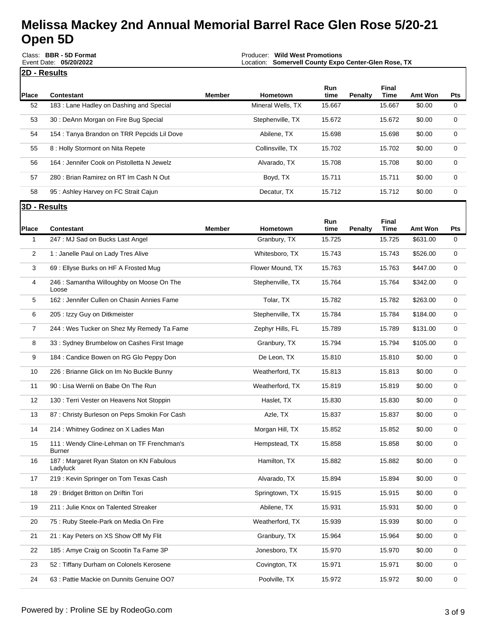|                | Class: BBR - 5D Format<br>Producer: Wild West Promotions<br>Event Date: 05/20/2022<br>Location: Somervell County Expo Center-Glen Rose, TX |               |                          |                |                |                       |                            |                    |
|----------------|--------------------------------------------------------------------------------------------------------------------------------------------|---------------|--------------------------|----------------|----------------|-----------------------|----------------------------|--------------------|
|                | 2D - Results                                                                                                                               |               |                          |                |                |                       |                            |                    |
| Place          | <b>Contestant</b>                                                                                                                          | <b>Member</b> | Hometown                 | Run<br>time    | <b>Penalty</b> | Final<br><b>Time</b>  | Amt Won                    | Pts                |
| 52             | 183 : Lane Hadley on Dashing and Special                                                                                                   |               | Mineral Wells, TX        | 15.667         |                | 15.667                | \$0.00                     | 0                  |
| 53             | 30 : DeAnn Morgan on Fire Bug Special                                                                                                      |               | Stephenville, TX         | 15.672         |                | 15.672                | \$0.00                     | 0                  |
| 54             | 154 : Tanya Brandon on TRR Pepcids Lil Dove                                                                                                |               | Abilene, TX              | 15.698         |                | 15.698                | \$0.00                     | 0                  |
| 55             | 8 : Holly Stormont on Nita Repete                                                                                                          |               | Collinsville, TX         | 15.702         |                | 15.702                | \$0.00                     | 0                  |
| 56             | 164 : Jennifer Cook on Pistolletta N Jewelz                                                                                                |               | Alvarado, TX             | 15.708         |                | 15.708                | \$0.00                     | 0                  |
| 57             | 280 : Brian Ramirez on RT Im Cash N Out                                                                                                    |               | Boyd, TX                 | 15.711         |                | 15.711                | \$0.00                     | 0                  |
| 58             | 95 : Ashley Harvey on FC Strait Cajun                                                                                                      |               | Decatur, TX              | 15.712         |                | 15.712                | \$0.00                     | 0                  |
|                | 3D - Results                                                                                                                               |               |                          |                |                |                       |                            |                    |
|                |                                                                                                                                            |               |                          | Run            |                | Final                 |                            |                    |
| Place<br>1     | <b>Contestant</b><br>247 : MJ Sad on Bucks Last Angel                                                                                      | <b>Member</b> | Hometown<br>Granbury, TX | time<br>15.725 | <b>Penalty</b> | <b>Time</b><br>15.725 | <b>Amt Won</b><br>\$631.00 | Pts<br>$\mathbf 0$ |
|                |                                                                                                                                            |               |                          |                |                |                       |                            |                    |
| $\overline{2}$ | 1 : Janelle Paul on Lady Tres Alive                                                                                                        |               | Whitesboro, TX           | 15.743         |                | 15.743                | \$526.00                   | 0                  |
| 3              | 69 : Ellyse Burks on HF A Frosted Mug                                                                                                      |               | Flower Mound, TX         | 15.763         |                | 15.763                | \$447.00                   | 0                  |
| 4              | 246 : Samantha Willoughby on Moose On The<br>Loose                                                                                         |               | Stephenville, TX         | 15.764         |                | 15.764                | \$342.00                   | $\mathbf 0$        |
| 5              | 162 : Jennifer Cullen on Chasin Annies Fame                                                                                                |               | Tolar, TX                | 15.782         |                | 15.782                | \$263.00                   | $\mathbf 0$        |
| 6              | 205 : Izzy Guy on Ditkmeister                                                                                                              |               | Stephenville, TX         | 15.784         |                | 15.784                | \$184.00                   | $\mathbf 0$        |
| $\overline{7}$ | 244 : Wes Tucker on Shez My Remedy Ta Fame                                                                                                 |               | Zephyr Hills, FL         | 15.789         |                | 15.789                | \$131.00                   | 0                  |
| 8              | 33: Sydney Brumbelow on Cashes First Image                                                                                                 |               | Granbury, TX             | 15.794         |                | 15.794                | \$105.00                   | $\mathbf 0$        |
| 9              | 184 : Candice Bowen on RG Glo Peppy Don                                                                                                    |               | De Leon, TX              | 15.810         |                | 15.810                | \$0.00                     | $\mathbf 0$        |
| 10             | 226 : Brianne Glick on Im No Buckle Bunny                                                                                                  |               | Weatherford, TX          | 15.813         |                | 15.813                | \$0.00                     | $\mathbf 0$        |
| 11             | 90 : Lisa Wernli on Babe On The Run                                                                                                        |               | Weatherford, TX          | 15.819         |                | 15.819                | \$0.00                     | 0                  |
| 12             | 130 : Terri Vester on Heavens Not Stoppin                                                                                                  |               | Haslet, TX               | 15.830         |                | 15.830                | \$0.00                     | 0                  |
| 13             | 87: Christy Burleson on Peps Smokin For Cash                                                                                               |               | Azle, TX                 | 15.837         |                | 15.837                | \$0.00                     | 0                  |
| 14             | 214 : Whitney Godinez on X Ladies Man                                                                                                      |               | Morgan Hill, TX          | 15.852         |                | 15.852                | \$0.00                     | 0                  |
| 15             | 111: Wendy Cline-Lehman on TF Frenchman's<br>Burner                                                                                        |               | Hempstead, TX            | 15.858         |                | 15.858                | \$0.00                     | $\mathbf 0$        |
| 16             | 187 : Margaret Ryan Staton on KN Fabulous<br>Ladyluck                                                                                      |               | Hamilton, TX             | 15.882         |                | 15.882                | \$0.00                     | $\mathbf 0$        |
| 17             | 219 : Kevin Springer on Tom Texas Cash                                                                                                     |               | Alvarado, TX             | 15.894         |                | 15.894                | \$0.00                     | $\mathbf 0$        |
| 18             | 29 : Bridget Britton on Driftin Tori                                                                                                       |               | Springtown, TX           | 15.915         |                | 15.915                | \$0.00                     | $\mathbf 0$        |
| 19             | 211 : Julie Knox on Talented Streaker                                                                                                      |               | Abilene, TX              | 15.931         |                | 15.931                | \$0.00                     | $\mathbf 0$        |
| 20             | 75 : Ruby Steele-Park on Media On Fire                                                                                                     |               | Weatherford, TX          | 15.939         |                | 15.939                | \$0.00                     | $\mathbf 0$        |
| 21             | 21 : Kay Peters on XS Show Off My Flit                                                                                                     |               | Granbury, TX             | 15.964         |                | 15.964                | \$0.00                     | $\mathbf 0$        |
| 22             | 185 : Amye Craig on Scootin Ta Fame 3P                                                                                                     |               | Jonesboro, TX            | 15.970         |                | 15.970                | \$0.00                     | $\mathbf 0$        |
| 23             | 52 : Tiffany Durham on Colonels Kerosene                                                                                                   |               | Covington, TX            | 15.971         |                | 15.971                | \$0.00                     | $\mathbf 0$        |
| 24             | 63 : Pattie Mackie on Dunnits Genuine OO7                                                                                                  |               | Poolville, TX            | 15.972         |                | 15.972                | \$0.00                     | $\mathbf 0$        |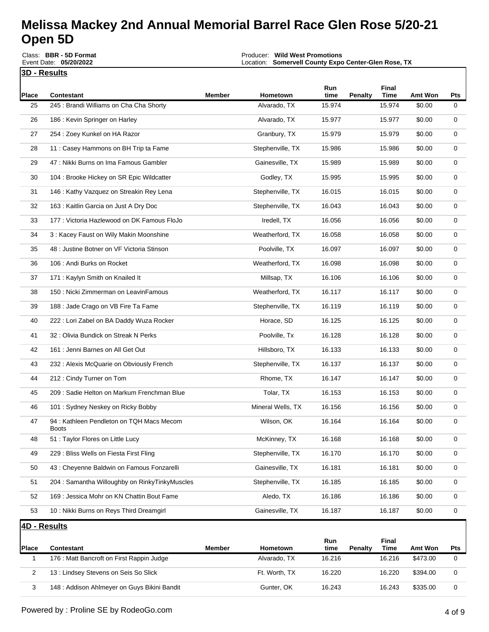**3D - Results** Round Description: **Single RacePlace Contestant Member Hometown Run time Penalty Final Time Amt Won Pts** 25 245 : Brandi Williams on Cha Cha Shorty **Alvarado, TX** 15.974 15.974 \$0.00 0 26 186 : Kevin Springer on Harley National Alvarado, TX 15.977 15.977 \$0.00 0 27 254 : Zoey Kunkel on HA Razor Granbury, TX 15.979 15.979 \$0.00 0 Producer: **Wild West Promotions** Location: **Somervell County Expo Center-Glen Rose, TX** Event Payout: **\$13,138.00** Total Signups**: 267** Class: **BBR - 5D Format** Event Date: **05/20/2022**

| 28 | 11 : Casey Hammons on BH Trip ta Fame                    | Stephenville, TX  | 15.986 | 15.986 | \$0.00 | 0 |
|----|----------------------------------------------------------|-------------------|--------|--------|--------|---|
| 29 | 47 : Nikki Burns on Ima Famous Gambler                   | Gainesville, TX   | 15.989 | 15.989 | \$0.00 | 0 |
| 30 | 104 : Brooke Hickey on SR Epic Wildcatter                | Godley, TX        | 15.995 | 15.995 | \$0.00 | 0 |
| 31 | 146 : Kathy Vazquez on Streakin Rey Lena                 | Stephenville, TX  | 16.015 | 16.015 | \$0.00 | 0 |
| 32 | 163 : Kaitlin Garcia on Just A Dry Doc                   | Stephenville, TX  | 16.043 | 16.043 | \$0.00 | 0 |
| 33 | 177 : Victoria Hazlewood on DK Famous FloJo              | Iredell, TX       | 16.056 | 16.056 | \$0.00 | 0 |
| 34 | 3 : Kacey Faust on Wily Makin Moonshine                  | Weatherford, TX   | 16.058 | 16.058 | \$0.00 | 0 |
| 35 | 48 : Justine Botner on VF Victoria Stinson               | Poolville, TX     | 16.097 | 16.097 | \$0.00 | 0 |
| 36 | 106 : Andi Burks on Rocket                               | Weatherford, TX   | 16.098 | 16.098 | \$0.00 | 0 |
| 37 | 171: Kaylyn Smith on Knailed It                          | Millsap, TX       | 16.106 | 16.106 | \$0.00 | 0 |
| 38 | 150 : Nicki Zimmerman on LeavinFamous                    | Weatherford, TX   | 16.117 | 16.117 | \$0.00 | 0 |
| 39 | 188 : Jade Crago on VB Fire Ta Fame                      | Stephenville, TX  | 16.119 | 16.119 | \$0.00 | 0 |
| 40 | 222 : Lori Zabel on BA Daddy Wuza Rocker                 | Horace, SD        | 16.125 | 16.125 | \$0.00 | 0 |
| 41 | 32 : Olivia Bundick on Streak N Perks                    | Poolville, Tx     | 16.128 | 16.128 | \$0.00 | 0 |
| 42 | 161 : Jenni Barnes on All Get Out                        | Hillsboro, TX     | 16.133 | 16.133 | \$0.00 | 0 |
| 43 | 232 : Alexis McQuarie on Obviously French                | Stephenville, TX  | 16.137 | 16.137 | \$0.00 | 0 |
| 44 | 212 : Cindy Turner on Tom                                | Rhome, TX         | 16.147 | 16.147 | \$0.00 | 0 |
| 45 | 209 : Sadie Helton on Markum Frenchman Blue              | Tolar, TX         | 16.153 | 16.153 | \$0.00 | 0 |
| 46 | 101: Sydney Neskey on Ricky Bobby                        | Mineral Wells, TX | 16.156 | 16.156 | \$0.00 | 0 |
| 47 | 94: Kathleen Pendleton on TQH Macs Mecom<br><b>Boots</b> | Wilson, OK        | 16.164 | 16.164 | \$0.00 | 0 |
| 48 | 51 : Taylor Flores on Little Lucy                        | McKinney, TX      | 16.168 | 16.168 | \$0.00 | 0 |
| 49 | 229 : Bliss Wells on Fiesta First Fling                  | Stephenville, TX  | 16.170 | 16.170 | \$0.00 | 0 |
| 50 | 43 : Cheyenne Baldwin on Famous Fonzarelli               | Gainesville, TX   | 16.181 | 16.181 | \$0.00 | 0 |
| 51 | 204 : Samantha Willoughby on RinkyTinkyMuscles           | Stephenville, TX  | 16.185 | 16.185 | \$0.00 | 0 |
| 52 | 169 : Jessica Mohr on KN Chattin Bout Fame               | Aledo, TX         | 16.186 | 16.186 | \$0.00 | 0 |
| 53 | 10 : Nikki Burns on Reys Third Dreamgirl                 | Gainesville, TX   | 16.187 | 16.187 | \$0.00 | 0 |
|    | 4D - Results                                             |                   |        |        |        |   |

**Place Contestant Member Hometown Run Penalty Final Time Amt Won Pts** 1 176 : Matt Bancroft on First Rappin Judge **Alvarado, TX** 16.216 16.216 \$473.00 0 2 13 : Lindsey Stevens on Seis So Slick Function Control of Linds and The Morth, TX 16.220 16.220 16.220 \$394.00 0 3 148 : Addison Ahlmeyer on Guys Bikini Bandit Gunter, OK 16.243 16.243 \$335.00 0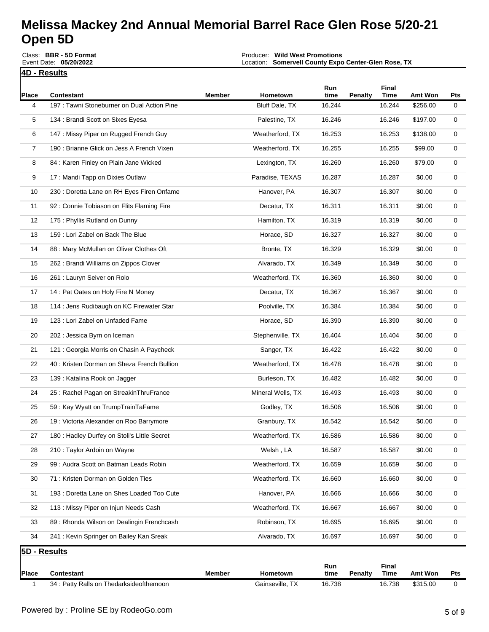**4D - Results** Round Description: **Single Race**Class: **BBR - 5D Format** Event Date: **05/20/2022**

Producer: **Wild West Promotions** Location: **Somervell County Expo Center-Glen Rose, TX**

Event Payout: **\$13,138.00** Total Signups**: 267**

| Place          | <b>Contestant</b>                            | Member | Hometown          | Run<br>time | <b>Penalty</b> | Final<br>Time | Amt Won  | Pts |
|----------------|----------------------------------------------|--------|-------------------|-------------|----------------|---------------|----------|-----|
| 4              | 197 : Tawni Stoneburner on Dual Action Pine  |        | Bluff Dale, TX    | 16.244      |                | 16.244        | \$256.00 | 0   |
| 5              | 134 : Brandi Scott on Sixes Eyesa            |        | Palestine, TX     | 16.246      |                | 16.246        | \$197.00 | 0   |
| 6              | 147 : Missy Piper on Rugged French Guy       |        | Weatherford, TX   | 16.253      |                | 16.253        | \$138.00 | 0   |
| $\overline{7}$ | 190 : Brianne Glick on Jess A French Vixen   |        | Weatherford, TX   | 16.255      |                | 16.255        | \$99.00  | 0   |
| 8              | 84 : Karen Finley on Plain Jane Wicked       |        | Lexington, TX     | 16.260      |                | 16.260        | \$79.00  | 0   |
| 9              | 17 : Mandi Tapp on Dixies Outlaw             |        | Paradise, TEXAS   | 16.287      |                | 16.287        | \$0.00   | 0   |
| 10             | 230 : Doretta Lane on RH Eyes Firen Onfame   |        | Hanover, PA       | 16.307      |                | 16.307        | \$0.00   | 0   |
| 11             | 92 : Connie Tobiason on Flits Flaming Fire   |        | Decatur, TX       | 16.311      |                | 16.311        | \$0.00   | 0   |
| 12             | 175 : Phyllis Rutland on Dunny               |        | Hamilton, TX      | 16.319      |                | 16.319        | \$0.00   | 0   |
| 13             | 159 : Lori Zabel on Back The Blue            |        | Horace, SD        | 16.327      |                | 16.327        | \$0.00   | 0   |
| 14             | 88 : Mary McMullan on Oliver Clothes Oft     |        | Bronte, TX        | 16.329      |                | 16.329        | \$0.00   | 0   |
| 15             | 262 : Brandi Williams on Zippos Clover       |        | Alvarado, TX      | 16.349      |                | 16.349        | \$0.00   | 0   |
| 16             | 261 : Lauryn Seiver on Rolo                  |        | Weatherford, TX   | 16.360      |                | 16.360        | \$0.00   | 0   |
| 17             | 14 : Pat Oates on Holy Fire N Money          |        | Decatur, TX       | 16.367      |                | 16.367        | \$0.00   | 0   |
| 18             | 114 : Jens Rudibaugh on KC Firewater Star    |        | Poolville, TX     | 16.384      |                | 16.384        | \$0.00   | 0   |
| 19             | 123 : Lori Zabel on Unfaded Fame             |        | Horace, SD        | 16.390      |                | 16.390        | \$0.00   | 0   |
| 20             | 202 : Jessica Byrn on Iceman                 |        | Stephenville, TX  | 16.404      |                | 16.404        | \$0.00   | 0   |
| 21             | 121 : Georgia Morris on Chasin A Paycheck    |        | Sanger, TX        | 16.422      |                | 16.422        | \$0.00   | 0   |
| 22             | 40 : Kristen Dorman on Sheza French Bullion  |        | Weatherford, TX   | 16.478      |                | 16.478        | \$0.00   | 0   |
| 23             | 139 : Katalina Rook on Jagger                |        | Burleson, TX      | 16.482      |                | 16.482        | \$0.00   | 0   |
| 24             | 25 : Rachel Pagan on StreakinThruFrance      |        | Mineral Wells, TX | 16.493      |                | 16.493        | \$0.00   | 0   |
| 25             | 59 : Kay Wyatt on TrumpTrainTaFame           |        | Godley, TX        | 16.506      |                | 16.506        | \$0.00   | 0   |
| 26             | 19 : Victoria Alexander on Roo Barrymore     |        | Granbury, TX      | 16.542      |                | 16.542        | \$0.00   | 0   |
| 27             | 180 : Hadley Durfey on Stoli's Little Secret |        | Weatherford, TX   | 16.586      |                | 16.586        | \$0.00   | 0   |
| 28             | 210 : Taylor Ardoin on Wayne                 |        | Welsh , LA        | 16.587      |                | 16.587        | \$0.00   | 0   |
| 29             | 99: Audra Scott on Batman Leads Robin        |        | Weatherford, TX   | 16.659      |                | 16.659        | \$0.00   | 0   |
| 30             | 71 : Kristen Dorman on Golden Ties           |        | Weatherford, TX   | 16.660      |                | 16.660        | \$0.00   | 0   |
| 31             | 193 : Doretta Lane on Shes Loaded Too Cute   |        | Hanover, PA       | 16.666      |                | 16.666        | \$0.00   | 0   |
| 32             | 113: Missy Piper on Injun Needs Cash         |        | Weatherford, TX   | 16.667      |                | 16.667        | \$0.00   | 0   |
| 33             | 89: Rhonda Wilson on Dealingin Frenchcash    |        | Robinson, TX      | 16.695      |                | 16.695        | \$0.00   | 0   |
| 34             | 241 : Kevin Springer on Bailey Kan Sreak     |        | Alvarado, TX      | 16.697      |                | 16.697        | \$0.00   | 0   |
|                | 5D - Results                                 |        |                   |             |                |               |          |     |
|                |                                              |        |                   | Run         |                | Final         |          |     |
| <b>Place</b>   | <b>Contestant</b>                            | Member | Hometown          | time        | <b>Penalty</b> | <b>Time</b>   | Amt Won  | Pts |
| 1              | 34 : Patty Ralls on Thedarksideofthemoon     |        | Gainseville, TX   | 16.738      |                | 16.738        | \$315.00 | 0   |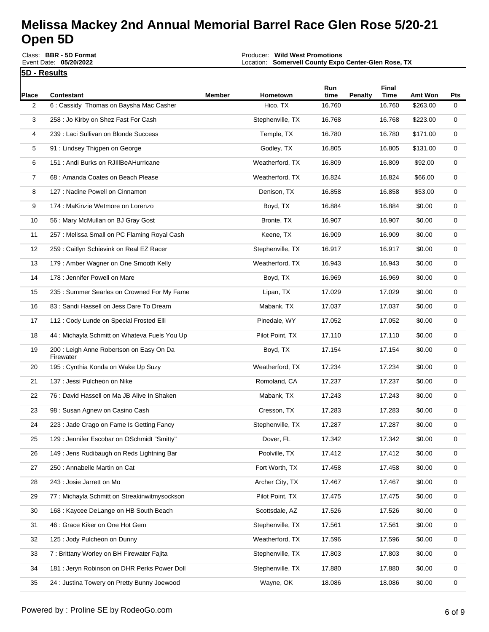Class: **BBR - 5D Format** Event Date: **05/20/2022**

Producer: **Wild West Promotions** Location: **Somervell County Expo Center-Glen Rose, TX**

|       | 5D - Results                                          |               |                  |             |                |               |          |             |
|-------|-------------------------------------------------------|---------------|------------------|-------------|----------------|---------------|----------|-------------|
| Place | <b>Contestant</b>                                     | <b>Member</b> | Hometown         | Run<br>time | <b>Penalty</b> | Final<br>Time | Amt Won  | Pts         |
| 2     | 6 : Cassidy Thomas on Baysha Mac Casher               |               | Hico, TX         | 16.760      |                | 16.760        | \$263.00 | 0           |
| 3     | 258 : Jo Kirby on Shez Fast For Cash                  |               | Stephenville, TX | 16.768      |                | 16.768        | \$223.00 | 0           |
| 4     | 239 : Laci Sullivan on Blonde Success                 |               | Temple, TX       | 16.780      |                | 16.780        | \$171.00 | 0           |
| 5     | 91 : Lindsey Thigpen on George                        |               | Godley, TX       | 16.805      |                | 16.805        | \$131.00 | 0           |
| 6     | 151 : Andi Burks on RJIIIBeAHurricane                 |               | Weatherford, TX  | 16.809      |                | 16.809        | \$92.00  | 0           |
| 7     | 68 : Amanda Coates on Beach Please                    |               | Weatherford, TX  | 16.824      |                | 16.824        | \$66.00  | 0           |
| 8     | 127 : Nadine Powell on Cinnamon                       |               | Denison, TX      | 16.858      |                | 16.858        | \$53.00  | 0           |
| 9     | 174 : MaKinzie Wetmore on Lorenzo                     |               | Boyd, TX         | 16.884      |                | 16.884        | \$0.00   | 0           |
| 10    | 56 : Mary McMullan on BJ Gray Gost                    |               | Bronte, TX       | 16.907      |                | 16.907        | \$0.00   | 0           |
| 11    | 257 : Melissa Small on PC Flaming Royal Cash          |               | Keene, TX        | 16.909      |                | 16.909        | \$0.00   | 0           |
| 12    | 259 : Caitlyn Schievink on Real EZ Racer              |               | Stephenville, TX | 16.917      |                | 16.917        | \$0.00   | 0           |
| 13    | 179: Amber Wagner on One Smooth Kelly                 |               | Weatherford, TX  | 16.943      |                | 16.943        | \$0.00   | 0           |
| 14    | 178 : Jennifer Powell on Mare                         |               | Boyd, TX         | 16.969      |                | 16.969        | \$0.00   | 0           |
| 15    | 235 : Summer Searles on Crowned For My Fame           |               | Lipan, TX        | 17.029      |                | 17.029        | \$0.00   | 0           |
| 16    | 83 : Sandi Hassell on Jess Dare To Dream              |               | Mabank, TX       | 17.037      |                | 17.037        | \$0.00   | 0           |
| 17    | 112 : Cody Lunde on Special Frosted Elli              |               | Pinedale, WY     | 17.052      |                | 17.052        | \$0.00   | 0           |
| 18    | 44 : Michayla Schmitt on Whateva Fuels You Up         |               | Pilot Point, TX  | 17.110      |                | 17.110        | \$0.00   | 0           |
| 19    | 200 : Leigh Anne Robertson on Easy On Da<br>Firewater |               | Boyd, TX         | 17.154      |                | 17.154        | \$0.00   | 0           |
| 20    | 195 : Cynthia Konda on Wake Up Suzy                   |               | Weatherford, TX  | 17.234      |                | 17.234        | \$0.00   | 0           |
| 21    | 137 : Jessi Pulcheon on Nike                          |               | Romoland, CA     | 17.237      |                | 17.237        | \$0.00   | 0           |
| 22    | 76 : David Hassell on Ma JB Alive In Shaken           |               | Mabank, TX       | 17.243      |                | 17.243        | \$0.00   | 0           |
| 23    | 98 : Susan Agnew on Casino Cash                       |               | Cresson, TX      | 17.283      |                | 17.283        | \$0.00   | 0           |
| 24    | 223 : Jade Crago on Fame Is Getting Fancy             |               | Stephenville, TX | 17.287      |                | 17.287        | \$0.00   | 0           |
| 25    | 129 : Jennifer Escobar on OSchmidt "Smitty"           |               | Dover, FL        | 17.342      |                | 17.342        | \$0.00   | 0           |
| 26    | 149 : Jens Rudibaugh on Reds Lightning Bar            |               | Poolville, TX    | 17.412      |                | 17.412        | \$0.00   | 0           |
| 27    | 250 : Annabelle Martin on Cat                         |               | Fort Worth, TX   | 17.458      |                | 17.458        | \$0.00   | 0           |
| 28    | 243 : Josie Jarrett on Mo                             |               | Archer City, TX  | 17.467      |                | 17.467        | \$0.00   | $\mathbf 0$ |

29 77 : Michayla Schmitt on Streakinwitmysockson Pilot Point, TX 17.475 17.475 \$0.00 0 30 168 : Kaycee DeLange on HB South Beach Scottsdale, AZ 17.526 17.526 \$0.00 0 31 46 : Grace Kiker on One Hot Gem  $\overline{S}$  Stephenville, TX 17.561 17.561 \$0.00 0 32 125 : Jody Pulcheon on Dunny The Control of the Meatherford, TX 17.596 17.596 \$0.00 0 33 7 : Brittany Worley on BH Firewater Fajita Stephenville, TX 17.803 17.803 \$0.00 0 34 181 : Jeryn Robinson on DHR Perks Power Doll Stephenville, TX 17.880 17.880 \$0.00 0 35 24 : Justina Towery on Pretty Bunny Joewood New York Wayne, OK 18.086 18.086 \$0.00 0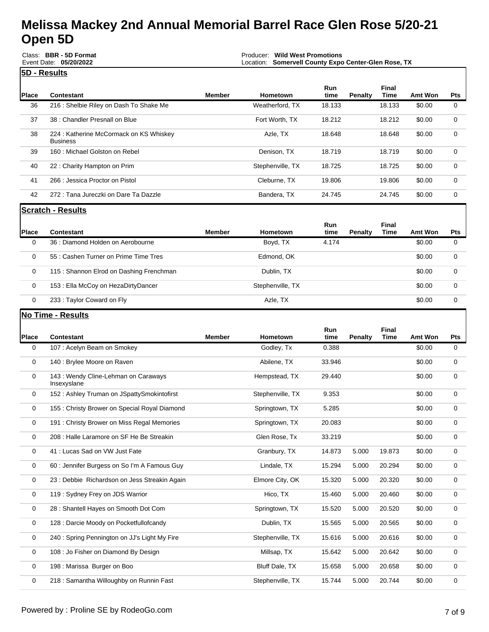|              | Class: BBR - 5D Format<br>Event Date: 05/20/2022           | <b>Wild West Promotions</b><br>Producer:<br>Location: Somervell County Expo Center-Glen Rose, TX |                  |                    |                |               |         |            |  |
|--------------|------------------------------------------------------------|--------------------------------------------------------------------------------------------------|------------------|--------------------|----------------|---------------|---------|------------|--|
|              | 5D - Results                                               |                                                                                                  |                  |                    |                |               |         |            |  |
| <b>Place</b> | Contestant                                                 | Member                                                                                           | Hometown         | <b>Run</b><br>time | <b>Penalty</b> | Final<br>Time | Amt Won | <b>Pts</b> |  |
| 36           | 216 : Shelbie Riley on Dash To Shake Me                    |                                                                                                  | Weatherford, TX  | 18.133             |                | 18.133        | \$0.00  | 0          |  |
| 37           | 38 : Chandler Presnall on Blue                             |                                                                                                  | Fort Worth, TX   | 18.212             |                | 18.212        | \$0.00  | 0          |  |
| 38           | 224 : Katherine McCormack on KS Whiskey<br><b>Business</b> |                                                                                                  | Azle, TX         | 18.648             |                | 18.648        | \$0.00  | 0          |  |
| 39           | 160 : Michael Golston on Rebel                             |                                                                                                  | Denison, TX      | 18.719             |                | 18.719        | \$0.00  | 0          |  |
| 40           | 22 : Charity Hampton on Prim                               |                                                                                                  | Stephenville, TX | 18.725             |                | 18.725        | \$0.00  | 0          |  |
| 41           | 266 : Jessica Proctor on Pistol                            |                                                                                                  | Cleburne, TX     | 19.806             |                | 19.806        | \$0.00  | 0          |  |
| 42           | 272 : Tana Jureczki on Dare Ta Dazzle                      |                                                                                                  | Bandera, TX      | 24.745             |                | 24.745        | \$0.00  | 0          |  |

#### **Place Contestant Member Hometown Run Penalty Final Time Amt Won Pts** 0 36 : Diamond Holden on Aerobourne Boyd, TX 4.174 \$0.00 0 0 55 : Cashen Turner on Prime Time Tres **Edmond, OK Edmond, OK** 60.00 0 0 115 : Shannon Elrod on Dashing Frenchman Dublin, TX \$0.00 0 0 153 : Ella McCoy on HezaDirtyDancer **Stephenville, TX** 50.00 0 0 233 : Taylor Coward on Fly **Azle, TX** Azle, TX 421e, TX \$0.00 0

#### **No Time - Results**

**Scratch - Results**

| <b>Place</b> | <b>Contestant</b>                                   | <b>Member</b> | Hometown         | Run<br>time | Penalty | Final<br><b>Time</b> | Amt Won | <b>Pts</b> |
|--------------|-----------------------------------------------------|---------------|------------------|-------------|---------|----------------------|---------|------------|
| $\mathbf 0$  | 107: Acelyn Beam on Smokey                          |               | Godley, Tx       | 0.388       |         |                      | \$0.00  | 0          |
| $\mathbf 0$  | 140 : Brylee Moore on Raven                         |               | Abilene, TX      | 33.946      |         |                      | \$0.00  | $\Omega$   |
| $\mathbf 0$  | 143 : Wendy Cline-Lehman on Caraways<br>Insexyslane |               | Hempstead, TX    | 29.440      |         |                      | \$0.00  | 0          |
| 0            | 152: Ashley Truman on JSpattySmokintofirst          |               | Stephenville, TX | 9.353       |         |                      | \$0.00  | 0          |
| $\mathbf 0$  | 155 : Christy Brower on Special Royal Diamond       |               | Springtown, TX   | 5.285       |         |                      | \$0.00  | 0          |
| $\mathbf 0$  | 191 : Christy Brower on Miss Regal Memories         |               | Springtown, TX   | 20.083      |         |                      | \$0.00  | 0          |
| 0            | 208 : Halle Laramore on SF He Be Streakin           |               | Glen Rose, Tx    | 33.219      |         |                      | \$0.00  | 0          |
| 0            | 41 : Lucas Sad on VW Just Fate                      |               | Granbury, TX     | 14.873      | 5.000   | 19.873               | \$0.00  | 0          |
| $\mathbf 0$  | 60 : Jennifer Burgess on So I'm A Famous Guy        |               | Lindale, TX      | 15.294      | 5.000   | 20.294               | \$0.00  | 0          |
| 0            | 23 : Debbie Richardson on Jess Streakin Again       |               | Elmore City, OK  | 15.320      | 5.000   | 20.320               | \$0.00  | 0          |
| 0            | 119: Sydney Frey on JDS Warrior                     |               | Hico, TX         | 15.460      | 5.000   | 20.460               | \$0.00  | 0          |
| 0            | 28 : Shantell Hayes on Smooth Dot Com               |               | Springtown, TX   | 15.520      | 5.000   | 20.520               | \$0.00  | 0          |
| 0            | 128 : Darcie Moody on Pocketfullofcandy             |               | Dublin, TX       | 15.565      | 5.000   | 20.565               | \$0.00  | 0          |
| $\mathbf 0$  | 240 : Spring Pennington on JJ's Light My Fire       |               | Stephenville, TX | 15.616      | 5.000   | 20.616               | \$0.00  | 0          |
| $\mathbf 0$  | 108 : Jo Fisher on Diamond By Design                |               | Millsap, TX      | 15.642      | 5.000   | 20.642               | \$0.00  | 0          |
| $\mathbf 0$  | 198 : Marissa Burger on Boo                         |               | Bluff Dale, TX   | 15.658      | 5.000   | 20.658               | \$0.00  | $\Omega$   |
| 0            | 218 : Samantha Willoughby on Runnin Fast            |               | Stephenville, TX | 15.744      | 5.000   | 20.744               | \$0.00  | 0          |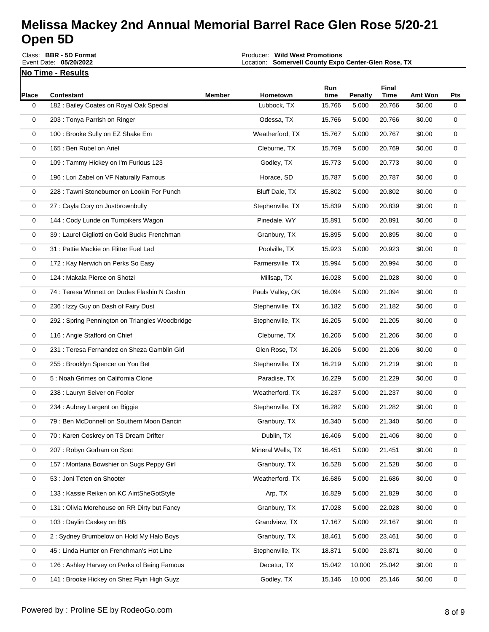Class: **BBR - 5D Format** Event Date: **05/20/2022**

Producer: **Wild West Promotions** Location: **Somervell County Expo Center-Glen Rose, TX**

Event Payout: **\$13,138.00** Total Signups**: 267**

**No Time - Results** 

| Place       | <b>Contestant</b>                               | Member | Hometown          | Run<br>time | Penalty | Final<br><b>Time</b> | Amt Won | Pts |
|-------------|-------------------------------------------------|--------|-------------------|-------------|---------|----------------------|---------|-----|
| 0           | 182 : Bailey Coates on Royal Oak Special        |        | Lubbock, TX       | 15.766      | 5.000   | 20.766               | \$0.00  | 0   |
| 0           | 203 : Tonya Parrish on Ringer                   |        | Odessa, TX        | 15.766      | 5.000   | 20.766               | \$0.00  | 0   |
| 0           | 100 : Brooke Sully on EZ Shake Em               |        | Weatherford, TX   | 15.767      | 5.000   | 20.767               | \$0.00  | 0   |
| 0           | 165 : Ben Rubel on Ariel                        |        | Cleburne, TX      | 15.769      | 5.000   | 20.769               | \$0.00  | 0   |
| 0           | 109 : Tammy Hickey on I'm Furious 123           |        | Godley, TX        | 15.773      | 5.000   | 20.773               | \$0.00  | 0   |
| 0           | 196 : Lori Zabel on VF Naturally Famous         |        | Horace, SD        | 15.787      | 5.000   | 20.787               | \$0.00  | 0   |
| 0           | 228 : Tawni Stoneburner on Lookin For Punch     |        | Bluff Dale, TX    | 15.802      | 5.000   | 20.802               | \$0.00  | 0   |
| 0           | 27 : Cayla Cory on Justbrownbully               |        | Stephenville, TX  | 15.839      | 5.000   | 20.839               | \$0.00  | 0   |
| 0           | 144 : Cody Lunde on Turnpikers Wagon            |        | Pinedale, WY      | 15.891      | 5.000   | 20.891               | \$0.00  | 0   |
| 0           | 39 : Laurel Gigliotti on Gold Bucks Frenchman   |        | Granbury, TX      | 15.895      | 5.000   | 20.895               | \$0.00  | 0   |
| 0           | 31 : Pattie Mackie on Flitter Fuel Lad          |        | Poolville, TX     | 15.923      | 5.000   | 20.923               | \$0.00  | 0   |
| 0           | 172 : Kay Nerwich on Perks So Easy              |        | Farmersville, TX  | 15.994      | 5.000   | 20.994               | \$0.00  | 0   |
| 0           | 124 : Makala Pierce on Shotzi                   |        | Millsap, TX       | 16.028      | 5.000   | 21.028               | \$0.00  | 0   |
| 0           | 74 : Teresa Winnett on Dudes Flashin N Cashin   |        | Pauls Valley, OK  | 16.094      | 5.000   | 21.094               | \$0.00  | 0   |
| 0           | 236 : Izzy Guy on Dash of Fairy Dust            |        | Stephenville, TX  | 16.182      | 5.000   | 21.182               | \$0.00  | 0   |
| 0           | 292 : Spring Pennington on Triangles Woodbridge |        | Stephenville, TX  | 16.205      | 5.000   | 21.205               | \$0.00  | 0   |
| 0           | 116 : Angie Stafford on Chief                   |        | Cleburne, TX      | 16.206      | 5.000   | 21.206               | \$0.00  | 0   |
| 0           | 231 : Teresa Fernandez on Sheza Gamblin Girl    |        | Glen Rose, TX     | 16.206      | 5.000   | 21.206               | \$0.00  | 0   |
| 0           | 255 : Brooklyn Spencer on You Bet               |        | Stephenville, TX  | 16.219      | 5.000   | 21.219               | \$0.00  | 0   |
| 0           | 5 : Noah Grimes on California Clone             |        | Paradise, TX      | 16.229      | 5.000   | 21.229               | \$0.00  | 0   |
| 0           | 238 : Lauryn Seiver on Fooler                   |        | Weatherford, TX   | 16.237      | 5.000   | 21.237               | \$0.00  | 0   |
| 0           | 234 : Aubrey Largent on Biggie                  |        | Stephenville, TX  | 16.282      | 5.000   | 21.282               | \$0.00  | 0   |
| 0           | 79: Ben McDonnell on Southern Moon Dancin       |        | Granbury, TX      | 16.340      | 5.000   | 21.340               | \$0.00  | 0   |
| 0           | 70 : Karen Coskrey on TS Dream Drifter          |        | Dublin, TX        | 16.406      | 5.000   | 21.406               | \$0.00  | 0   |
| 0           | 207: Robyn Gorham on Spot                       |        | Mineral Wells, TX | 16.451      | 5.000   | 21.451               | \$0.00  | 0   |
| 0           | 157: Montana Bowshier on Sugs Peppy Girl        |        | Granbury, TX      | 16.528      | 5.000   | 21.528               | \$0.00  | 0   |
| 0           | 53 : Joni Teten on Shooter                      |        | Weatherford, TX   | 16.686      | 5.000   | 21.686               | \$0.00  | 0   |
| 0           | 133 : Kassie Reiken on KC AintSheGotStyle       |        | Arp, TX           | 16.829      | 5.000   | 21.829               | \$0.00  | 0   |
| $\mathbf 0$ | 131 : Olivia Morehouse on RR Dirty but Fancy    |        | Granbury, TX      | 17.028      | 5.000   | 22.028               | \$0.00  | 0   |
| 0           | 103 : Daylin Caskey on BB                       |        | Grandview, TX     | 17.167      | 5.000   | 22.167               | \$0.00  | 0   |
| 0           | 2: Sydney Brumbelow on Hold My Halo Boys        |        | Granbury, TX      | 18.461      | 5.000   | 23.461               | \$0.00  | 0   |
| 0           | 45 : Linda Hunter on Frenchman's Hot Line       |        | Stephenville, TX  | 18.871      | 5.000   | 23.871               | \$0.00  | 0   |
| $\mathbf 0$ | 126 : Ashley Harvey on Perks of Being Famous    |        | Decatur, TX       | 15.042      | 10.000  | 25.042               | \$0.00  | 0   |
| 0           | 141 : Brooke Hickey on Shez Flyin High Guyz     |        | Godley, TX        | 15.146      | 10.000  | 25.146               | \$0.00  | 0   |
|             |                                                 |        |                   |             |         |                      |         |     |